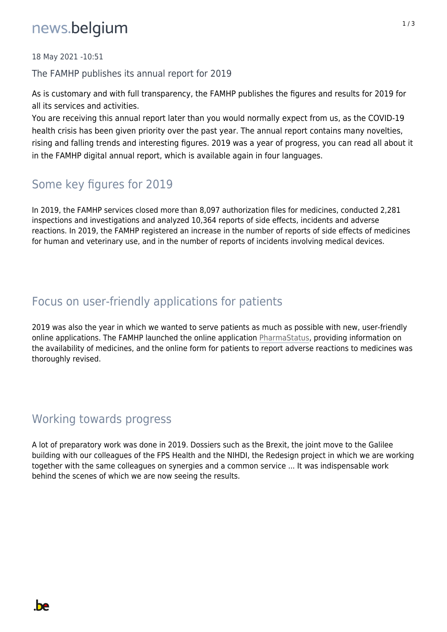# news.belgium

18 May 2021 -10:51

The FAMHP publishes its annual report for 2019

As is customary and with full transparency, the FAMHP publishes the figures and results for 2019 for all its services and activities.

You are receiving this annual report later than you would normally expect from us, as the COVID-19 health crisis has been given priority over the past year. The annual report contains many novelties, rising and falling trends and interesting figures. 2019 was a year of progress, you can read all about it in the FAMHP digital annual report, which is available again in four languages.

### Some key figures for 2019

In 2019, the FAMHP services closed more than 8,097 authorization files for medicines, conducted 2,281 inspections and investigations and analyzed 10,364 reports of side effects, incidents and adverse reactions. In 2019, the FAMHP registered an increase in the number of reports of side effects of medicines for human and veterinary use, and in the number of reports of incidents involving medical devices.

#### Focus on user-friendly applications for patients

2019 was also the year in which we wanted to serve patients as much as possible with new, user-friendly online applications. The FAMHP launched the online application PharmaStatus, providing information on the availability of medicines, and the online form for patients to report adverse reactions to medicines was thoroughly revised.

#### Working towards progress

**be** 

A lot of preparatory work was done in 2019. Dossiers such as the Brexit, the joint move to the Galilee building with our colleagues of the FPS Health and the NIHDI, the Redesign project in which we are working together with the same colleagues on synergies and a common service ... It was indispensable work behind the scenes of which we are now seeing the results.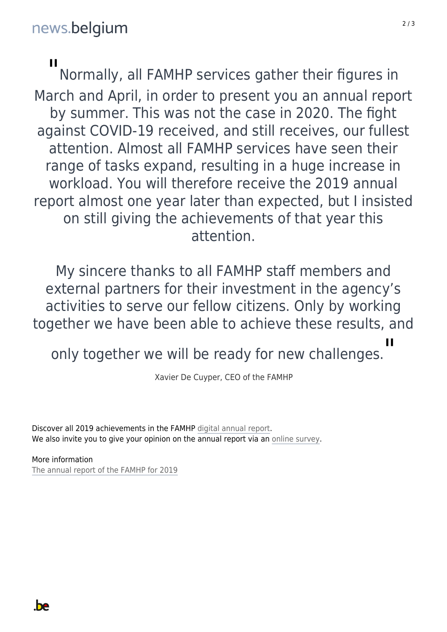#### $\blacksquare$

Normally, all FAMHP services gather their figures in March and April, in order to present you an annual report by summer. This was not the case in 2020. The fight against COVID-19 received, and still receives, our fullest attention. Almost all FAMHP services have seen their range of tasks expand, resulting in a huge increase in workload. You will therefore receive the 2019 annual report almost one year later than expected, but I insisted on still giving the achievements of that year this attention.

My sincere thanks to all FAMHP staff members and external partners for their investment in the agency's activities to serve our fellow citizens. Only by working together we have been able to achieve these results, and

 $\blacksquare$ 

only together we will be ready for new challenges.

Xavier De Cuyper, CEO of the FAMHP

Discover all 2019 achievements in the FAMHP digital annual report. We also invite you to give your opinion on the annual report via an online survey.

More information The annual report of the FAMHP for 2019

**be**